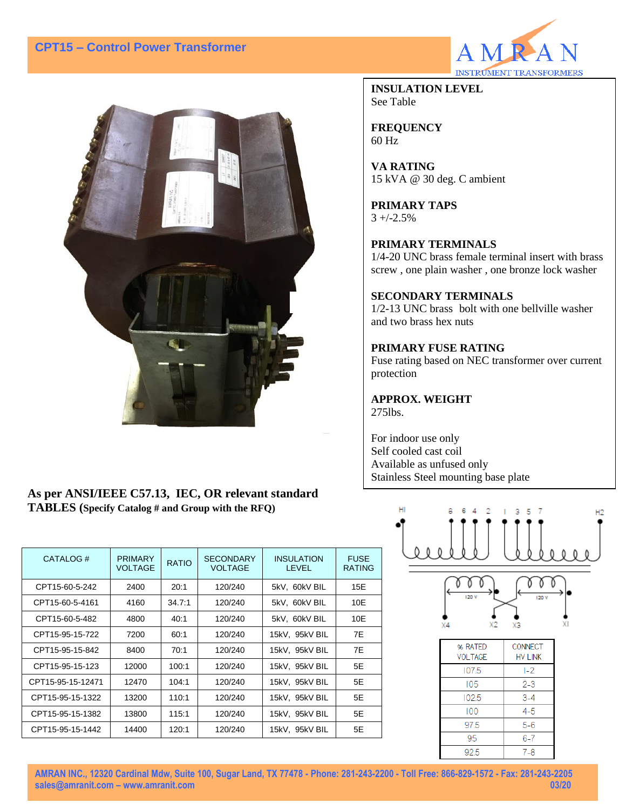# **CPT15 – Control Power Transformer**



**INSULATION LEVEL** See Table

**FREQUENCY** 60 Hz

**VA RATING** 15 kVA @ 30 deg. C ambient

**PRIMARY TAPS**  $3 + (-2.5%)$ 

### **PRIMARY TERMINALS**

1/4-20 UNC brass female terminal insert with brass screw , one plain washer , one bronze lock washer

#### **SECONDARY TERMINALS**

1/2-13 UNC brass bolt with one bellville washer and two brass hex nuts

#### **PRIMARY FUSE RATING**

Fuse rating based on NEC transformer over current protection

**APPROX. WEIGHT** 275lbs.

For indoor use only Self cooled cast coil Available as unfused only Stainless Steel mounting base plate





## **As per ANSI/IEEE C57.13, IEC, OR relevant standard TABLES (Specify Catalog # and Group with the RFQ)**

| CATALOG#          | <b>PRIMARY</b><br><b>VOLTAGE</b> | <b>RATIO</b> | <b>SECONDARY</b><br><b>VOLTAGE</b> | <b>INSULATION</b><br><b>LEVEL</b> | <b>FUSE</b><br><b>RATING</b> |
|-------------------|----------------------------------|--------------|------------------------------------|-----------------------------------|------------------------------|
| CPT15-60-5-242    | 2400                             | 20:1         | 120/240                            | 5kV. 60kV BIL                     | 15E                          |
| CPT15-60-5-4161   | 4160                             | 34.7:1       | 120/240                            | 5kV. 60kV BIL                     | 10E                          |
| CPT15-60-5-482    | 4800                             | 40:1         | 120/240                            | 5kV, 60kV BIL                     | 10E                          |
| CPT15-95-15-722   | 7200                             | 60:1         | 120/240                            | 15kV, 95kV BIL                    | 7E                           |
| CPT15-95-15-842   | 8400                             | 70:1         | 120/240                            | 15kV, 95kV BIL                    | 7E                           |
| CPT15-95-15-123   | 12000                            | 100:1        | 120/240                            | 15kV, 95kV BIL                    | 5E                           |
| CPT15-95-15-12471 | 12470                            | 104:1        | 120/240                            | 15kV, 95kV BIL                    | 5E                           |
| CPT15-95-15-1322  | 13200                            | 110:1        | 120/240                            | 15kV, 95kV BIL                    | 5E                           |
| CPT15-95-15-1382  | 13800                            | 115:1        | 120/240                            | 15kV, 95kV BIL                    | 5E                           |
| CPT15-95-15-1442  | 14400                            | 120:1        | 120/240                            | 15kV. 95kV BIL                    | 5E                           |

**AMRAN INC., 12320 Cardinal Mdw, Suite 100, Sugar Land, TX 77478 - Phone: 281-243-2200 - Toll Free: 866-829-1572 - Fax: 281-243-2205 [sales@amranit.com](mailto:sales@amranit.com) – www.amranit.com 03/20**